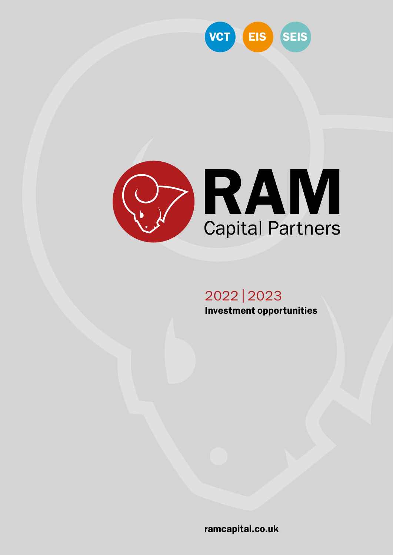



# 2022 | 2023 Investment opportunities

[ramcapital.co.uk](https://ramcapital.co.uk)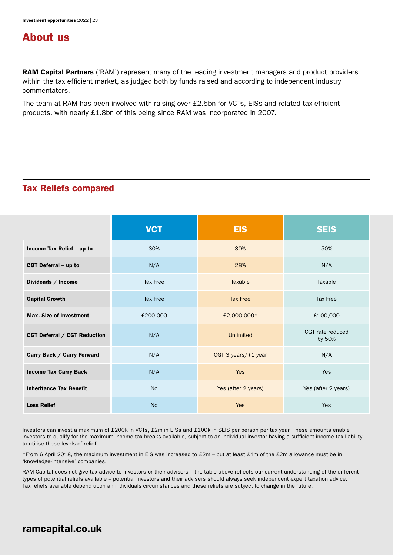### About us

**RAM Capital Partners** ('RAM') represent many of the leading investment managers and product providers within the tax efficient market, as judged both by funds raised and according to independent industry commentators.

The team at RAM has been involved with raising over £2.5bn for VCTs, EISs and related tax efficient products, with nearly £1.8bn of this being since RAM was incorporated in 2007.

### Tax Reliefs compared

|                                | <b>VCT</b>      | <b>EIS</b>          | <b>SEIS</b>                |
|--------------------------------|-----------------|---------------------|----------------------------|
| Income Tax Relief - up to      | 30%             | 30%                 | 50%                        |
| <b>CGT Deferral - up to</b>    | N/A             | 28%                 | N/A                        |
| Dividends / Income             | Tax Free        | Taxable             | Taxable                    |
| <b>Capital Growth</b>          | <b>Tax Free</b> | <b>Tax Free</b>     | Tax Free                   |
| <b>Max. Size of Investment</b> | £200,000        | £2,000,000*         | £100,000                   |
| CGT Deferral / CGT Reduction   | N/A             | <b>Unlimited</b>    | CGT rate reduced<br>by 50% |
| Carry Back / Carry Forward     | N/A             | CGT 3 years/+1 year | N/A                        |
| <b>Income Tax Carry Back</b>   | N/A             | <b>Yes</b>          | Yes                        |
| <b>Inheritance Tax Benefit</b> | <b>No</b>       | Yes (after 2 years) | Yes (after 2 years)        |
| <b>Loss Relief</b>             | <b>No</b>       | <b>Yes</b>          | Yes                        |

Investors can invest a maximum of £200k in VCTs, £2m in EISs and £100k in SEIS per person per tax year. These amounts enable investors to qualify for the maximum income tax breaks available, subject to an individual investor having a sufficient income tax liability to utilise these levels of relief.

\*From 6 April 2018, the maximum investment in EIS was increased to £2m – but at least £1m of the £2m allowance must be in 'knowledge-intensive' companies.

RAM Capital does not give tax advice to investors or their advisers – the table above reflects our current understanding of the different types of potential reliefs available – potential investors and their advisers should always seek independent expert taxation advice. Tax reliefs available depend upon an individuals circumstances and these reliefs are subject to change in the future.

### [ramcapital.co.uk](https://ramcapital.co.uk)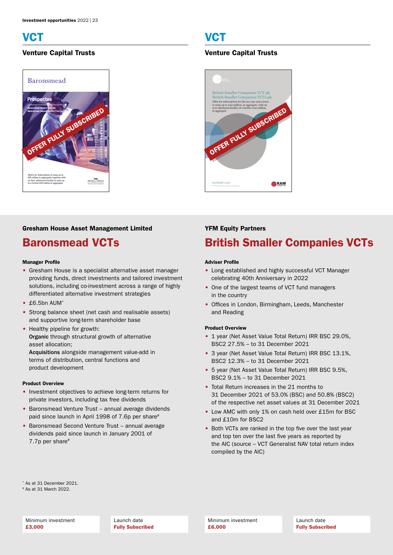



#### Gresham House Asset Management Limited

### Baronsmead VCTs

#### Manager Profile

- Gresham House is a specialist alternative asset manager providing funds, direct investments and tailored investment solutions, including co-investment across a range of highly differentiated alternative investment strategies
- £6.5bn AUM\*
- Strong balance sheet (net cash and realisable assets) and supportive long-term shareholder base
- Healthy pipeline for growth: Organic through structural growth of alternative asset allocation;

Acquisitions alongside management value-add in terms of distribution, central functions and product development

#### Product Overview

- Investment objectives to achieve long-term returns for private investors, including tax free dividends
- Baronsmead Venture Trust annual average dividends paid since launch in April 1998 of 7.6p per share#
- Baronsmead Second Venture Trust annual average dividends paid since launch in January 2001 of 7.7p per share#

#### Venture Capital Trusts Venture Capital Trusts



#### YFM Equity Partners

# British Smaller Companies VCTs

#### Adviser Profile

- Long established and highly successful VCT Manager celebrating 40th Anniversary in 2022
- One of the largest teams of VCT fund managers in the country
- Offices in London, Birmingham, Leeds, Manchester and Reading

#### Product Overview

- 1 year (Net Asset Value Total Return) IRR BSC 29.0%. BSC2 27.5% – to 31 December 2021
- 3 year (Net Asset Value Total Return) IRR BSC 13.1%, BSC2 12.3% – to 31 December 2021
- 5 year (Net Asset Value Total Return) IRR BSC 9.5%, BSC2 9.1% – to 31 December 2021
- Total Return increases in the 21 months to 31 December 2021 of 53.0% (BSC) and 50.8% (BSC2) of the respective net asset values at 31 December 2021
- Low AMC with only 1% on cash held over £15m for BSC and £10m for BSC2
- Both VCTs are ranked in the top five over the last year and top ten over the last five years as reported by the AIC (source – VCT Generalist NAV total return index compiled by the AIC)

\* As at 31 December 2021.

# As at 31 March 2022.

Minimum investment £3,000

Launch date Fully Subscribed Minimum investment £6,000

Launch date Fully Subscribed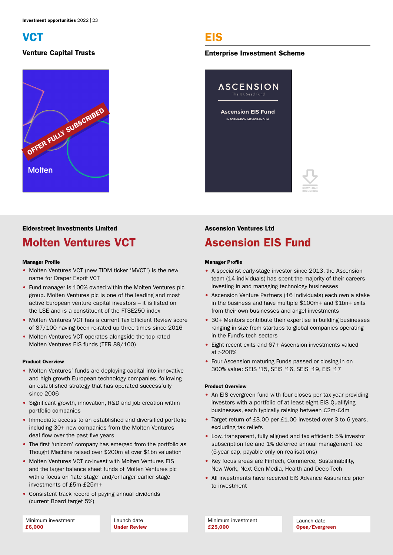

### Venture Capital Trusts



# EIS

#### Enterprise Investment Scheme



### Elderstreet Investments Limited

# Molten Ventures VCT

#### Manager Profile

- Molten Ventures VCT (new TIDM ticker 'MVCT') is the new name for Draper Esprit VCT
- Fund manager is 100% owned within the Molten Ventures plc group. Molten Ventures plc is one of the leading and most active European venture capital investors – it is listed on the LSE and is a constituent of the FTSE250 index
- Molten Ventures VCT has a current Tax Efficient Review score of 87/100 having been re-rated up three times since 2016
- Molten Ventures VCT operates alongside the top rated Molten Ventures EIS funds (TER 89/100)

#### Product Overview

- Molten Ventures' funds are deploying capital into innovative and high growth European technology companies, following an established strategy that has operated successfully since 2006
- Significant growth, innovation, R&D and job creation within portfolio companies
- Immediate access to an established and diversified portfolio including 30+ new companies from the Molten Ventures deal flow over the past five years
- The first 'unicorn' company has emerged from the portfolio as Thought Machine raised over \$200m at over \$1bn valuation
- Molten Ventures VCT co-invest with Molten Ventures EIS and the larger balance sheet funds of Molten Ventures plc with a focus on 'late stage' and/or larger earlier stage investments of £5m-£25m+
- Consistent track record of paying annual dividends (current Board target 5%)

Launch date Under Review

#### Ascension Ventures Ltd

# Ascension EIS Fund

#### Manager Profile

- A specialist early-stage investor since 2013, the Ascension team (14 individuals) has spent the majority of their careers investing in and managing technology businesses
- Ascension Venture Partners (16 individuals) each own a stake in the business and have multiple \$100m+ and \$1bn+ exits from their own businesses and angel investments
- 30+ Mentors contribute their expertise in building businesses ranging in size from startups to global companies operating in the Fund's tech sectors
- Eight recent exits and 67+ Ascension investments valued  $at > 200%$
- Four Ascension maturing Funds passed or closing in on 300% value: SEIS '15, SEIS '16, SEIS '19, EIS '17

#### Product Overview

- An EIS evergreen fund with four closes per tax year providing investors with a portfolio of at least eight EIS Qualifying businesses, each typically raising between £2m-£4m
- Target return of £3.00 per £1.00 invested over 3 to 6 years, excluding tax reliefs
- Low, transparent, fully aligned and tax efficient: 5% investor subscription fee and 1% deferred annual management fee (5-year cap, payable only on realisations)
- Key focus areas are FinTech, Commerce, Sustainability, New Work, Next Gen Media, Health and Deep Tech
- All investments have received EIS Advance Assurance prior to investment

Minimum investment £25,000

Launch date Open/Evergreen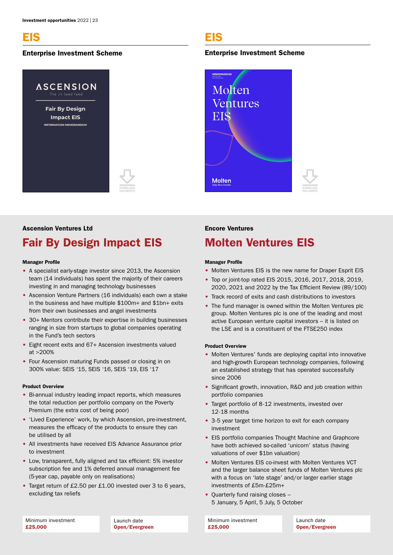### EIS

#### Enterprise Investment Scheme



# EIS

#### Enterprise Investment Scheme



#### Ascension Ventures Ltd

# Fair By Design Impact EIS

#### Manager Profile

- A specialist early-stage investor since 2013, the Ascension team (14 individuals) has spent the majority of their careers investing in and managing technology businesses
- Ascension Venture Partners (16 individuals) each own a stake in the business and have multiple \$100m+ and \$1bn+ exits from their own businesses and angel investments
- 30+ Mentors contribute their expertise in building businesses ranging in size from startups to global companies operating in the Fund's tech sectors
- Eight recent exits and 67+ Ascension investments valued  $at > 200%$
- Four Ascension maturing Funds passed or closing in on 300% value: SEIS '15, SEIS '16, SEIS '19, EIS '17

#### Product Overview

- Bi-annual industry leading impact reports, which measures the total reduction per portfolio company on the Poverty Premium (the extra cost of being poor)
- 'Lived Experience' work, by which Ascension, pre-investment, measures the efficacy of the products to ensure they can be utilised by all
- All investments have received EIS Advance Assurance prior to investment
- Low, transparent, fully aligned and tax efficient: 5% investor subscription fee and 1% deferred annual management fee (5-year cap, payable only on realisations)
- Target return of £2.50 per £1.00 invested over 3 to 6 years, excluding tax reliefs

#### Encore Ventures

### Molten Ventures EIS

#### Manager Profile

- Molten Ventures EIS is the new name for Draper Esprit EIS
- Top or joint-top rated EIS 2015, 2016, 2017, 2018, 2019, 2020, 2021 and 2022 by the Tax Efficient Review (89/100)
- Track record of exits and cash distributions to investors
- The fund manager is owned within the Molten Ventures plc group. Molten Ventures plc is one of the leading and most active European venture capital investors – it is listed on the LSE and is a constituent of the FTSE250 index

#### Product Overview

- Molten Ventures' funds are deploying capital into innovative and high-growth European technology companies, following an established strategy that has operated successfully since 2006
- Significant growth, innovation, R&D and job creation within portfolio companies
- Target portfolio of 8-12 investments, invested over 12-18 months
- 3-5 year target time horizon to exit for each company investment
- EIS portfolio companies Thought Machine and Graphcore have both achieved so-called 'unicorn' status (having valuations of over \$1bn valuation)
- Molten Ventures EIS co-invest with Molten Ventures VCT and the larger balance sheet funds of Molten Ventures plc with a focus on 'late stage' and/or larger earlier stage investments of £5m-£25m+
- Quarterly fund raising closes 5 January, 5 April, 5 July, 5 October

Launch date Open/Evergreen Minimum investment £25,000

Launch date Open/Evergreen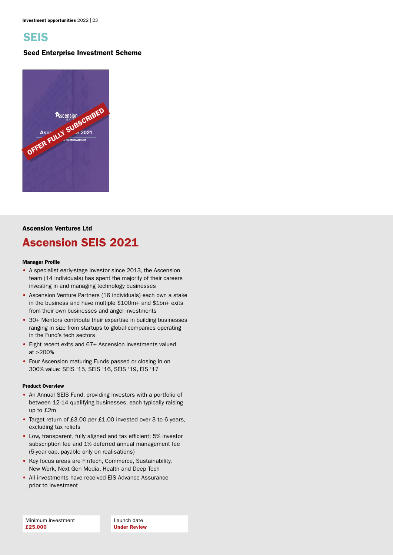

#### Seed Enterprise Investment Scheme



### Ascension Ventures Ltd

### Ascension SEIS 2021

#### Manager Profile

- A specialist early-stage investor since 2013, the Ascension team (14 individuals) has spent the majority of their careers investing in and managing technology businesses
- Ascension Venture Partners (16 individuals) each own a stake in the business and have multiple \$100m+ and \$1bn+ exits from their own businesses and angel investments
- 30+ Mentors contribute their expertise in building businesses ranging in size from startups to global companies operating in the Fund's tech sectors
- Eight recent exits and 67+ Ascension investments valued at >200%
- Four Ascension maturing Funds passed or closing in on 300% value: SEIS '15, SEIS '16, SEIS '19, EIS '17

#### Product Overview

- An Annual SEIS Fund, providing investors with a portfolio of between 12-14 qualifying businesses, each typically raising up to £2m
- Target return of £3.00 per £1.00 invested over 3 to 6 years, excluding tax reliefs
- Low, transparent, fully aligned and tax efficient: 5% investor subscription fee and 1% deferred annual management fee (5-year cap, payable only on realisations)
- Key focus areas are FinTech, Commerce, Sustainability, New Work, Next Gen Media, Health and Deep Tech
- All investments have received EIS Advance Assurance prior to investment

Launch date Under Review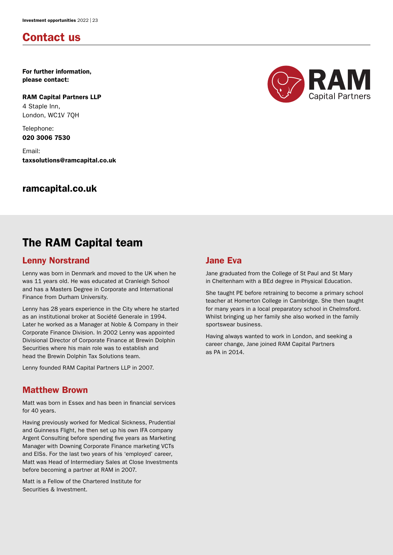### Contact us

For further information, please contact:

RAM Capital Partners LLP 4 Staple Inn, London, WC1V 7QH

Telephone: 020 3006 7530

Email: taxsolutions@ramcapital.co.uk

### [ramcapital.co.uk](https://ramcapital.co.uk)



# The RAM Capital team

### Lenny Norstrand

Lenny was born in Denmark and moved to the UK when he was 11 years old. He was educated at Cranleigh School and has a Masters Degree in Corporate and International Finance from Durham University.

Lenny has 28 years experience in the City where he started as an institutional broker at Société Generale in 1994. Later he worked as a Manager at Noble & Company in their Corporate Finance Division. In 2002 Lenny was appointed Divisional Director of Corporate Finance at Brewin Dolphin Securities where his main role was to establish and head the Brewin Dolphin Tax Solutions team.

Lenny founded RAM Capital Partners LLP in 2007.

### Matthew Brown

Matt was born in Essex and has been in financial services for 40 years.

Having previously worked for Medical Sickness, Prudential and Guinness Flight, he then set up his own IFA company Argent Consulting before spending five years as Marketing Manager with Downing Corporate Finance marketing VCTs and EISs. For the last two years of his 'employed' career, Matt was Head of Intermediary Sales at Close Investments before becoming a partner at RAM in 2007.

Matt is a Fellow of the Chartered Institute for Securities & Investment.

### Jane Eva

Jane graduated from the College of St Paul and St Mary in Cheltenham with a BEd degree in Physical Education.

She taught PE before retraining to become a primary school teacher at Homerton College in Cambridge. She then taught for many years in a local preparatory school in Chelmsford. Whilst bringing up her family she also worked in the family sportswear business.

Having always wanted to work in London, and seeking a career change, Jane joined RAM Capital Partners as PA in 2014.